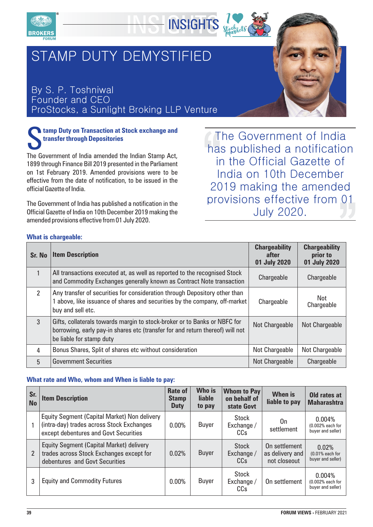



## By S. P. Toshniwal Founder and CEO ProStocks, a Sunlight Broking LLP Venture

## **tamp Duty on Transaction at Stock exchange and<br>
<b>transfer through Depositories**<br>
The Government of India amended the Indian Stamp Act

The Government of India amended the Indian Stamp Act, 1899 through Finance Bill 2019 presented in the Parliament on 1st February 2019. Amended provisions were to be effective from the date of notification, to be issued in the official Gazette of India.

The Government of India has published a notification in the Official Gazette of India on 10th December 2019 making the amended provisions effective from 01 July 2020.

The Government of India has published a notification in the Official Gazette of India on 10th December 2019 making the amended provisions effective from 01 July 2020.

## **What is chargeable:**

| Sr. No        | <b>Item Description</b>                                                                                                                                                                | <b>Chargeability</b><br>after<br>01 July 2020 | <b>Chargeability</b><br>prior to<br>01 July 2020 |
|---------------|----------------------------------------------------------------------------------------------------------------------------------------------------------------------------------------|-----------------------------------------------|--------------------------------------------------|
|               | All transactions executed at, as well as reported to the recognised Stock<br>and Commodity Exchanges generally known as Contract Note transaction                                      | Chargeable                                    | Chargeable                                       |
| $\mathcal{P}$ | Any transfer of securities for consideration through Depository other than<br>above, like issuance of shares and securities by the company, off-market<br>buy and sell etc.            | Chargeable                                    | Not.<br>Chargeable                               |
| 3             | Gifts, collaterals towards margin to stock-broker or to Banks or NBFC for<br>borrowing, early pay-in shares etc (transfer for and return thereof) will not<br>be liable for stamp duty | Not Chargeable                                | Not Chargeable                                   |
| 4             | Bonus Shares, Split of shares etc without consideration                                                                                                                                | Not Chargeable                                | Not Chargeable                                   |
| 5             | <b>Government Securities</b>                                                                                                                                                           | Not Chargeable                                | Chargeable                                       |

**INSIGHTS** 

## **What rate and Who, whom and When is liable to pay:**

| Sr.<br><b>No</b> | <b>Item Description</b>                                                                                                            | <b>Rate of</b><br><b>Stamp</b><br><b>Duty</b> | Who is<br><b>liable</b><br>to pay | <b>Whom to Pay</b><br>on behalf of<br>state Govt | <b>When is</b><br>liable to pay                  | Old rates at<br><b>Maharashtra</b>              |
|------------------|------------------------------------------------------------------------------------------------------------------------------------|-----------------------------------------------|-----------------------------------|--------------------------------------------------|--------------------------------------------------|-------------------------------------------------|
|                  | Equity Segment (Capital Market) Non delivery<br>(intra-day) trades across Stock Exchanges<br>except debentures and Govt Securities | 0.00%                                         | <b>Buyer</b>                      | <b>Stock</b><br>Exchange/<br>CCs                 | On<br>settlement                                 | 0.004%<br>(0.002% each for<br>buyer and seller) |
| $\overline{2}$   | Equity Segment (Capital Market) delivery<br>trades across Stock Exchanges except for<br>debentures and Govt Securities             | 0.02%                                         | <b>Buyer</b>                      | <b>Stock</b><br>Exchange /<br>CC <sub>S</sub>    | On settlement<br>as delivery and<br>not closeout | 0.02%<br>$(0.01%$ each for<br>buyer and seller) |
| 3                | <b>Equity and Commodity Futures</b>                                                                                                | 0.00%                                         | Buyer                             | <b>Stock</b><br>Exchange/<br>CCs                 | On settlement                                    | 0.004%<br>(0.002% each for<br>buyer and seller) |